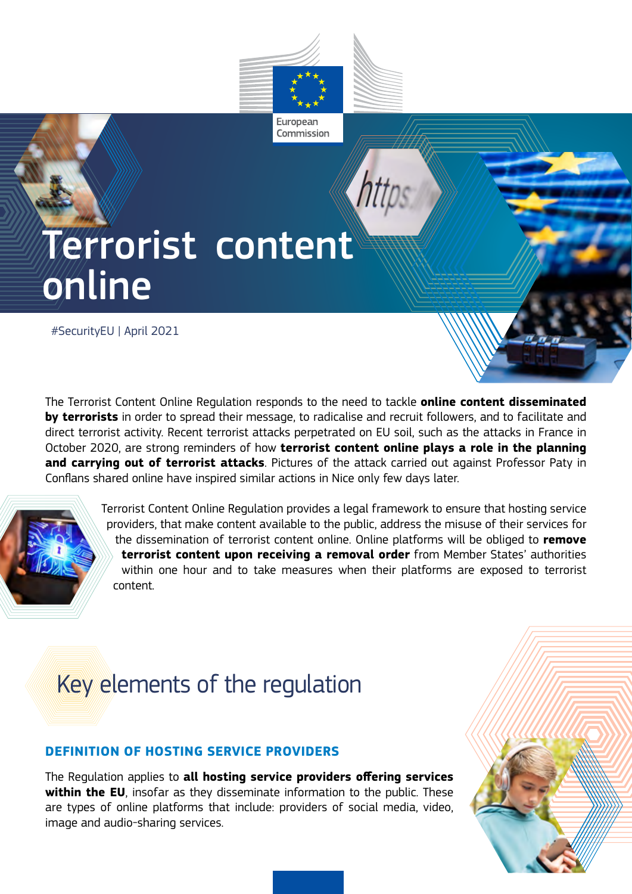

European Commission

# Terrorist content online

#SecurityEU | April 2021

The Terrorist Content Online Regulation responds to the need to tackle **online content disseminated by terrorists** in order to spread their message, to radicalise and recruit followers, and to facilitate and direct terrorist activity. Recent terrorist attacks perpetrated on EU soil, such as the attacks in France in October 2020, are strong reminders of how **terrorist content online plays a role in the planning and carrying out of terrorist attacks**. Pictures of the attack carried out against Professor Paty in Conflans shared online have inspired similar actions in Nice only few days later.



 Terrorist Content Online Regulation provides a legal framework to ensure that hosting service providers, that make content available to the public, address the misuse of their services for the dissemination of terrorist content online. Online platforms will be obliged to **remove terrorist content upon receiving a removal order** from Member States' authorities within one hour and to take measures when their platforms are exposed to terrorist content.

# Key elements of the regulation

# **DEFINITION OF HOSTING SERVICE PROVIDERS**

The Regulation applies to **all hosting service providers offering services within the EU**, insofar as they disseminate information to the public. These are types of online platforms that include: providers of social media, video, image and audio-sharing services.

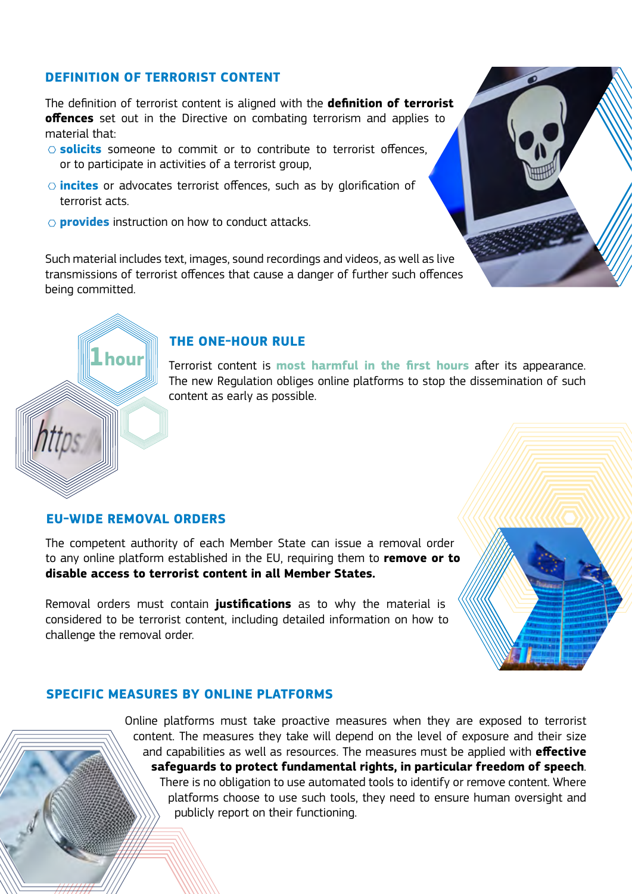### **DEFINITION OF TERRORIST CONTENT**

The definition of terrorist content is aligned with the **definition of terrorist offences** set out in the Directive on combating terrorism and applies to material that:

- **solicits** someone to commit or to contribute to terrorist offences, or to participate in activities of a terrorist group,
- **incites** or advocates terrorist offences, such as by glorification of terrorist acts.
- **provides** instruction on how to conduct attacks.

Such material includes text, images, sound recordings and videos, as well as live transmissions of terrorist offences that cause a danger of further such offences being committed.



Terrorist content is **most harmful in the first hours** after its appearance. The new Regulation obliges online platforms to stop the dissemination of such content as early as possible.

#### **EU-WIDE REMOVAL ORDERS**

**1hour**

The competent authority of each Member State can issue a removal order to any online platform established in the EU, requiring them to **remove or to disable access to terrorist content in all Member States.**

Removal orders must contain **justifications** as to why the material is considered to be terrorist content, including detailed information on how to challenge the removal order.



#### **SPECIFIC MEASURES BY ONLINE PLATFORMS**

Online platforms must take proactive measures when they are exposed to terrorist content. The measures they take will depend on the level of exposure and their size and capabilities as well as resources. The measures must be applied with **effective safeguards to protect fundamental rights, in particular freedom of speech**. There is no obligation to use automated tools to identify or remove content. Where platforms choose to use such tools, they need to ensure human oversight and publicly report on their functioning.